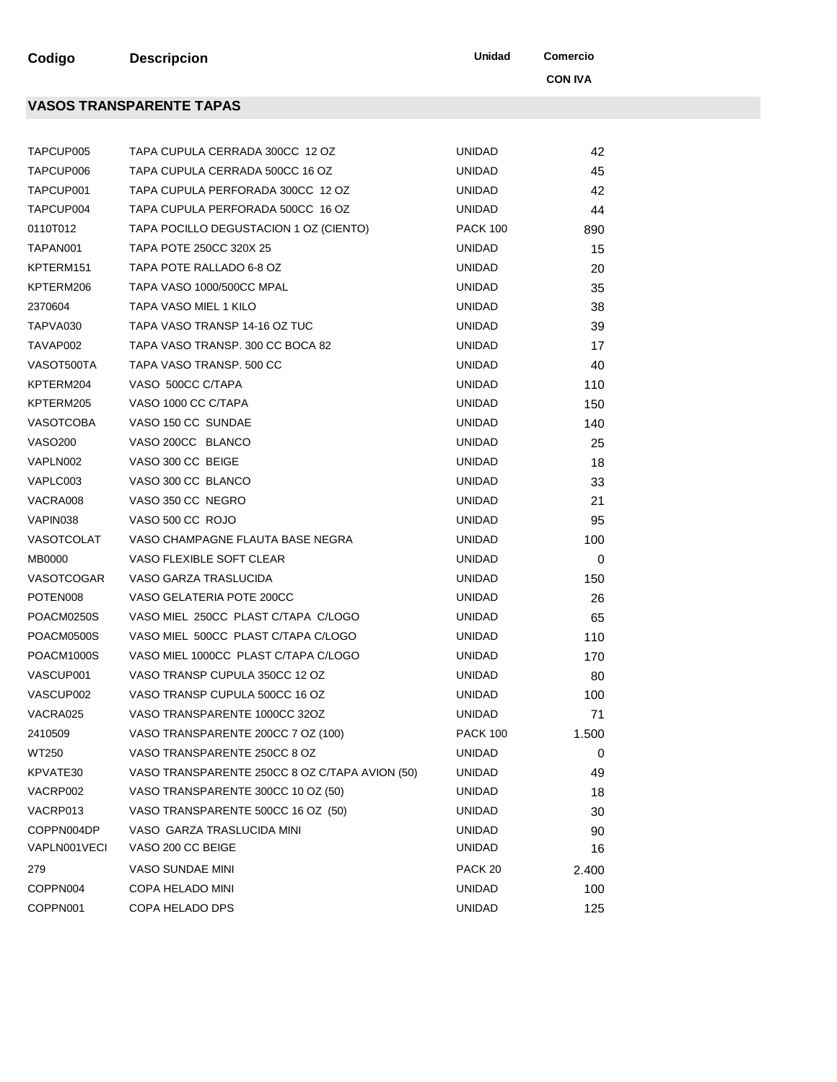**Codigo Descripcion Unidad Comercio** 

**VASOS TRANSPARENTE TAPAS**

**CON IVA**

| TAPCUP005            | TAPA CUPULA CERRADA 300CC 12 OZ                | <b>UNIDAD</b>      | 42    |
|----------------------|------------------------------------------------|--------------------|-------|
| TAPCUP006            | TAPA CUPULA CERRADA 500CC 16 OZ                | <b>UNIDAD</b>      | 45    |
| TAPCUP001            | TAPA CUPULA PERFORADA 300CC 12 OZ              | <b>UNIDAD</b>      | 42    |
| TAPCUP004            | TAPA CUPULA PERFORADA 500CC 16 OZ              | <b>UNIDAD</b>      | 44    |
| 0110T012             | TAPA POCILLO DEGUSTACION 1 OZ (CIENTO)         | <b>PACK 100</b>    | 890   |
| TAPAN001             | TAPA POTE 250CC 320X 25                        | <b>UNIDAD</b>      | 15    |
| KPTERM151            | TAPA POTE RALLADO 6-8 OZ                       | <b>UNIDAD</b>      | 20    |
| KPTERM206            | TAPA VASO 1000/500CC MPAL                      | <b>UNIDAD</b>      | 35    |
| 2370604              | TAPA VASO MIEL 1 KILO                          | <b>UNIDAD</b>      | 38    |
| TAPVA030             | TAPA VASO TRANSP 14-16 OZ TUC                  | <b>UNIDAD</b>      | 39    |
| TAVAP002             | TAPA VASO TRANSP. 300 CC BOCA 82               | <b>UNIDAD</b>      | 17    |
| VASOT500TA           | TAPA VASO TRANSP. 500 CC                       | <b>UNIDAD</b>      | 40    |
| KPTERM204            | VASO 500CC C/TAPA                              | <b>UNIDAD</b>      | 110   |
| KPTERM205            | VASO 1000 CC C/TAPA                            | <b>UNIDAD</b>      | 150   |
| VASOTCOBA            | VASO 150 CC SUNDAE                             | <b>UNIDAD</b>      | 140   |
| <b>VASO200</b>       | VASO 200CC BLANCO                              | <b>UNIDAD</b>      | 25    |
| VAPLN002             | VASO 300 CC BEIGE                              | <b>UNIDAD</b>      | 18    |
| VAPLC003             | VASO 300 CC BLANCO                             | <b>UNIDAD</b>      | 33    |
| VACRA008             | VASO 350 CC NEGRO                              | <b>UNIDAD</b>      | 21    |
| VAPIN038             | VASO 500 CC ROJO                               | <b>UNIDAD</b>      | 95    |
| VASOTCOLAT           | VASO CHAMPAGNE FLAUTA BASE NEGRA               | <b>UNIDAD</b>      | 100   |
| MB0000               | VASO FLEXIBLE SOFT CLEAR                       | <b>UNIDAD</b>      | 0     |
| VASOTCOGAR           | VASO GARZA TRASLUCIDA                          | <b>UNIDAD</b>      | 150   |
| POTEN <sub>008</sub> | VASO GELATERIA POTE 200CC                      | <b>UNIDAD</b>      | 26    |
| POACM0250S           | VASO MIEL 250CC PLAST C/TAPA C/LOGO            | <b>UNIDAD</b>      | 65    |
| POACM0500S           | VASO MIEL 500CC PLAST C/TAPA C/LOGO            | <b>UNIDAD</b>      | 110   |
| POACM1000S           | VASO MIEL 1000CC PLAST C/TAPA C/LOGO           | <b>UNIDAD</b>      | 170   |
| VASCUP001            | VASO TRANSP CUPULA 350CC 12 OZ                 | <b>UNIDAD</b>      | 80    |
| VASCUP002            | VASO TRANSP CUPULA 500CC 16 OZ                 | <b>UNIDAD</b>      | 100   |
| VACRA025             | VASO TRANSPARENTE 1000CC 32OZ                  | <b>UNIDAD</b>      | 71    |
| 2410509              | VASO TRANSPARENTE 200CC 7 OZ (100)             | <b>PACK 100</b>    | 1.500 |
| WT250                | VASO TRANSPARENTE 250CC 8 OZ                   | <b>UNIDAD</b>      | 0     |
| KPVATE30             | VASO TRANSPARENTE 250CC 8 OZ C/TAPA AVION (50) | <b>UNIDAD</b>      | 49    |
| VACRP002             | VASO TRANSPARENTE 300CC 10 OZ (50)             | UNIDAD             | 18    |
| VACRP013             | VASO TRANSPARENTE 500CC 16 OZ (50)             | UNIDAD             | 30    |
| COPPN004DP           | VASO GARZA TRASLUCIDA MINI                     | <b>UNIDAD</b>      | 90    |
| VAPLN001VECI         | VASO 200 CC BEIGE                              | <b>UNIDAD</b>      | 16    |
| 279                  | VASO SUNDAE MINI                               | PACK <sub>20</sub> | 2.400 |
| COPPN004             | <b>COPA HELADO MINI</b>                        | <b>UNIDAD</b>      | 100   |
| COPPN001             | COPA HELADO DPS                                | <b>UNIDAD</b>      | 125   |